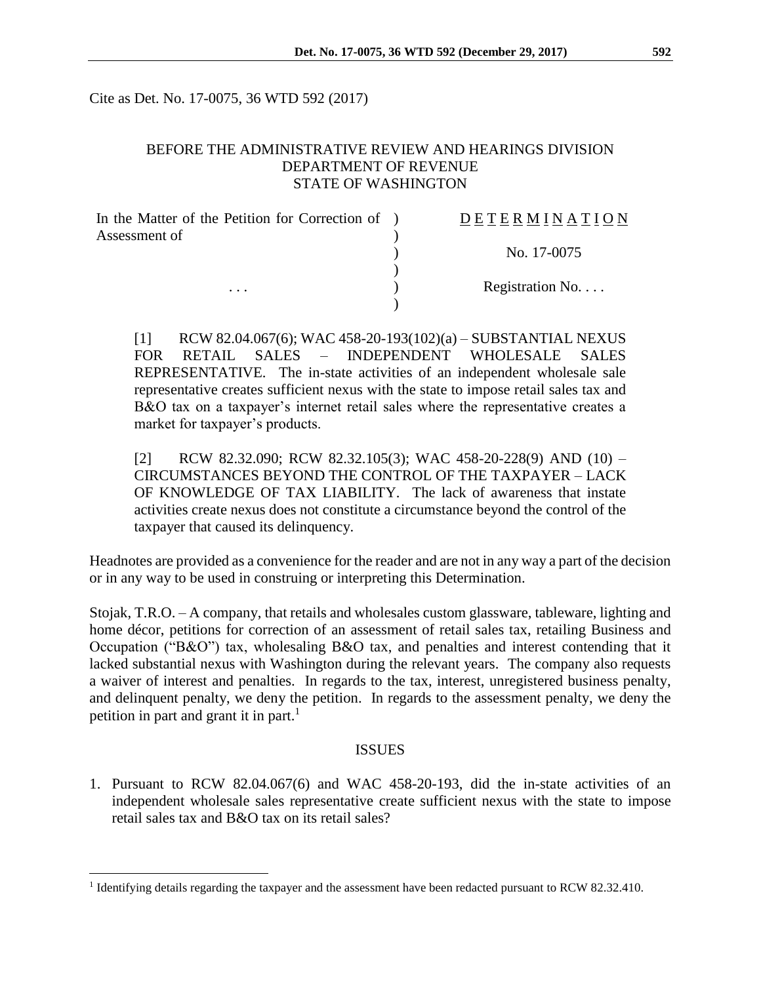Cite as Det. No. 17-0075, 36 WTD 592 (2017)

## BEFORE THE ADMINISTRATIVE REVIEW AND HEARINGS DIVISION DEPARTMENT OF REVENUE STATE OF WASHINGTON

| In the Matter of the Petition for Correction of ) | DETERMINATION   |
|---------------------------------------------------|-----------------|
| Assessment of                                     |                 |
|                                                   | No. 17-0075     |
|                                                   |                 |
| $\cdots$                                          | Registration No |
|                                                   |                 |

[1] RCW 82.04.067(6); WAC 458-20-193(102)(a) – SUBSTANTIAL NEXUS FOR RETAIL SALES – INDEPENDENT WHOLESALE SALES REPRESENTATIVE. The in-state activities of an independent wholesale sale representative creates sufficient nexus with the state to impose retail sales tax and B&O tax on a taxpayer's internet retail sales where the representative creates a market for taxpayer's products.

[2] RCW 82.32.090; RCW 82.32.105(3); WAC 458-20-228(9) AND (10) – CIRCUMSTANCES BEYOND THE CONTROL OF THE TAXPAYER – LACK OF KNOWLEDGE OF TAX LIABILITY. The lack of awareness that instate activities create nexus does not constitute a circumstance beyond the control of the taxpayer that caused its delinquency.

Headnotes are provided as a convenience for the reader and are not in any way a part of the decision or in any way to be used in construing or interpreting this Determination.

Stojak, T.R.O. – A company, that retails and wholesales custom glassware, tableware, lighting and home décor, petitions for correction of an assessment of retail sales tax, retailing Business and Occupation ("B&O") tax, wholesaling B&O tax, and penalties and interest contending that it lacked substantial nexus with Washington during the relevant years. The company also requests a waiver of interest and penalties. In regards to the tax, interest, unregistered business penalty, and delinquent penalty, we deny the petition. In regards to the assessment penalty, we deny the petition in part and grant it in part.<sup>1</sup>

### ISSUES

1. Pursuant to RCW 82.04.067(6) and WAC 458-20-193, did the in-state activities of an independent wholesale sales representative create sufficient nexus with the state to impose retail sales tax and B&O tax on its retail sales?

<sup>&</sup>lt;sup>1</sup> Identifying details regarding the taxpayer and the assessment have been redacted pursuant to RCW 82.32.410.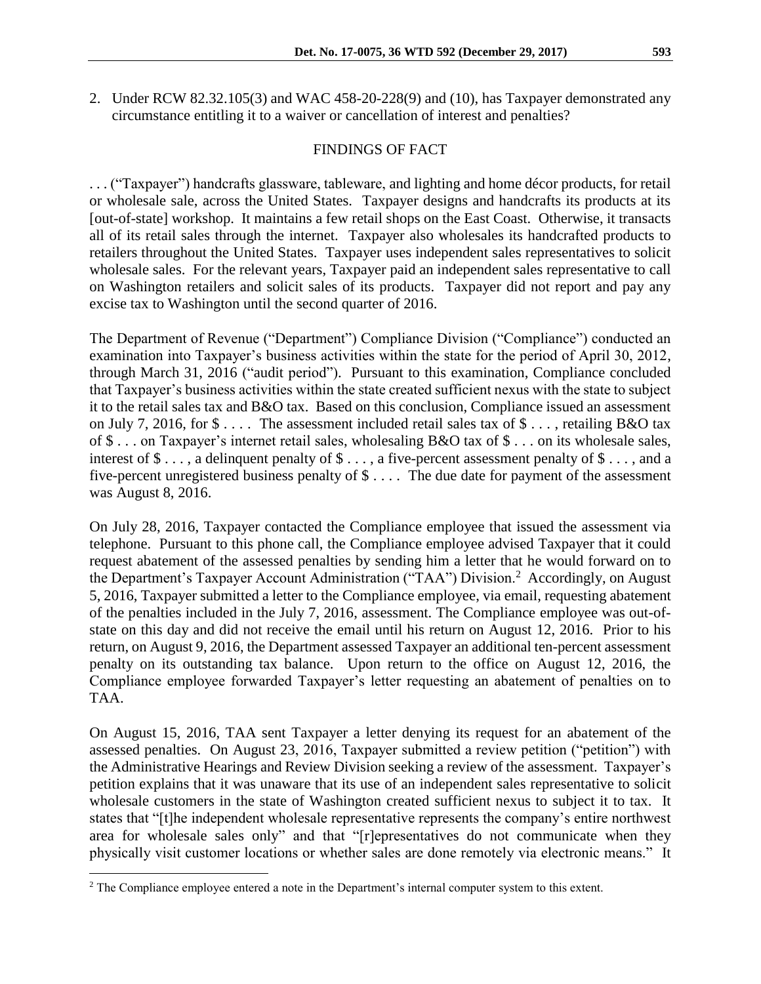2. Under RCW 82.32.105(3) and WAC 458-20-228(9) and (10), has Taxpayer demonstrated any circumstance entitling it to a waiver or cancellation of interest and penalties?

# FINDINGS OF FACT

. . . ("Taxpayer") handcrafts glassware, tableware, and lighting and home décor products, for retail or wholesale sale, across the United States. Taxpayer designs and handcrafts its products at its [out-of-state] workshop. It maintains a few retail shops on the East Coast. Otherwise, it transacts all of its retail sales through the internet. Taxpayer also wholesales its handcrafted products to retailers throughout the United States. Taxpayer uses independent sales representatives to solicit wholesale sales. For the relevant years, Taxpayer paid an independent sales representative to call on Washington retailers and solicit sales of its products. Taxpayer did not report and pay any excise tax to Washington until the second quarter of 2016.

The Department of Revenue ("Department") Compliance Division ("Compliance") conducted an examination into Taxpayer's business activities within the state for the period of April 30, 2012, through March 31, 2016 ("audit period"). Pursuant to this examination, Compliance concluded that Taxpayer's business activities within the state created sufficient nexus with the state to subject it to the retail sales tax and B&O tax. Based on this conclusion, Compliance issued an assessment on July 7, 2016, for \$ . . . . The assessment included retail sales tax of \$ . . . , retailing B&O tax of \$ . . . on Taxpayer's internet retail sales, wholesaling B&O tax of \$ . . . on its wholesale sales, interest of \$ . . . , a delinquent penalty of \$ . . . , a five-percent assessment penalty of \$ . . . , and a five-percent unregistered business penalty of \$ . . . . The due date for payment of the assessment was August 8, 2016.

On July 28, 2016, Taxpayer contacted the Compliance employee that issued the assessment via telephone. Pursuant to this phone call, the Compliance employee advised Taxpayer that it could request abatement of the assessed penalties by sending him a letter that he would forward on to the Department's Taxpayer Account Administration ("TAA") Division.<sup>2</sup> Accordingly, on August 5, 2016, Taxpayer submitted a letter to the Compliance employee, via email, requesting abatement of the penalties included in the July 7, 2016, assessment. The Compliance employee was out-ofstate on this day and did not receive the email until his return on August 12, 2016. Prior to his return, on August 9, 2016, the Department assessed Taxpayer an additional ten-percent assessment penalty on its outstanding tax balance. Upon return to the office on August 12, 2016, the Compliance employee forwarded Taxpayer's letter requesting an abatement of penalties on to TAA.

On August 15, 2016, TAA sent Taxpayer a letter denying its request for an abatement of the assessed penalties. On August 23, 2016, Taxpayer submitted a review petition ("petition") with the Administrative Hearings and Review Division seeking a review of the assessment. Taxpayer's petition explains that it was unaware that its use of an independent sales representative to solicit wholesale customers in the state of Washington created sufficient nexus to subject it to tax. It states that "[t]he independent wholesale representative represents the company's entire northwest area for wholesale sales only" and that "[r]epresentatives do not communicate when they physically visit customer locations or whether sales are done remotely via electronic means." It

<sup>2</sup> The Compliance employee entered a note in the Department's internal computer system to this extent.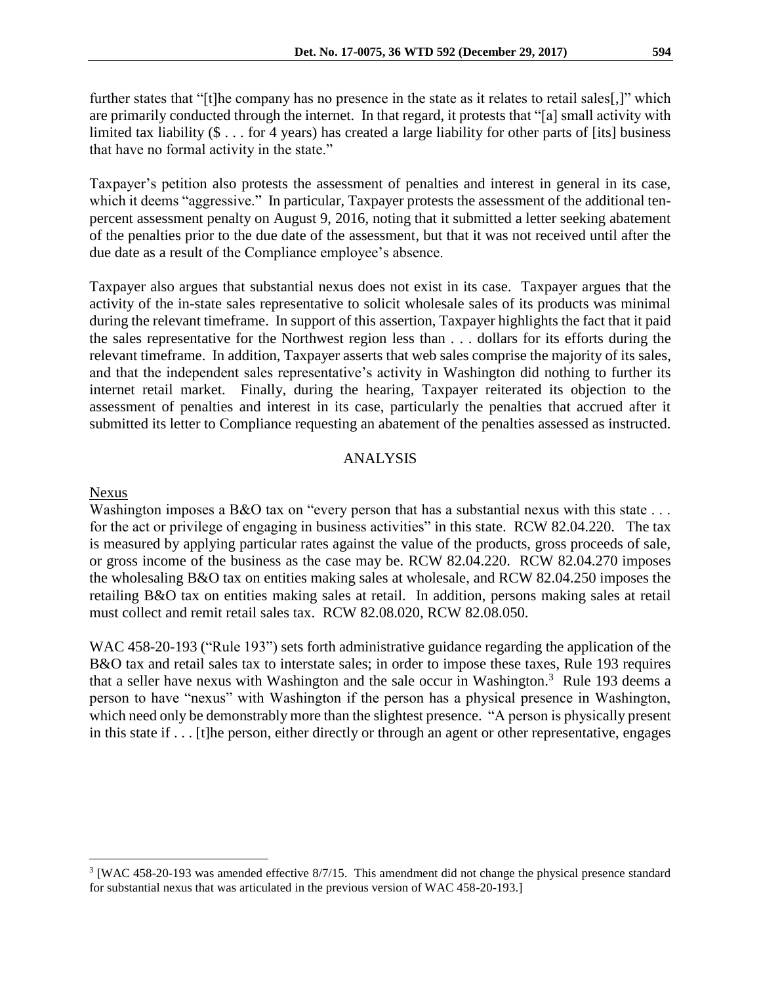further states that "[t]he company has no presence in the state as it relates to retail sales[,]" which are primarily conducted through the internet. In that regard, it protests that "[a] small activity with limited tax liability (\$ . . . for 4 years) has created a large liability for other parts of [its] business that have no formal activity in the state."

Taxpayer's petition also protests the assessment of penalties and interest in general in its case, which it deems "aggressive." In particular, Taxpayer protests the assessment of the additional tenpercent assessment penalty on August 9, 2016, noting that it submitted a letter seeking abatement of the penalties prior to the due date of the assessment, but that it was not received until after the due date as a result of the Compliance employee's absence.

Taxpayer also argues that substantial nexus does not exist in its case. Taxpayer argues that the activity of the in-state sales representative to solicit wholesale sales of its products was minimal during the relevant timeframe. In support of this assertion, Taxpayer highlights the fact that it paid the sales representative for the Northwest region less than . . . dollars for its efforts during the relevant timeframe. In addition, Taxpayer asserts that web sales comprise the majority of its sales, and that the independent sales representative's activity in Washington did nothing to further its internet retail market. Finally, during the hearing, Taxpayer reiterated its objection to the assessment of penalties and interest in its case, particularly the penalties that accrued after it submitted its letter to Compliance requesting an abatement of the penalties assessed as instructed.

### ANALYSIS

### Nexus

 $\overline{a}$ 

Washington imposes a B&O tax on "every person that has a substantial nexus with this state ... for the act or privilege of engaging in business activities" in this state. RCW 82.04.220. The tax is measured by applying particular rates against the value of the products, gross proceeds of sale, or gross income of the business as the case may be. RCW 82.04.220. RCW 82.04.270 imposes the wholesaling B&O tax on entities making sales at wholesale, and RCW 82.04.250 imposes the retailing B&O tax on entities making sales at retail. In addition, persons making sales at retail must collect and remit retail sales tax. RCW 82.08.020, RCW 82.08.050.

WAC 458-20-193 ("Rule 193") sets forth administrative guidance regarding the application of the B&O tax and retail sales tax to interstate sales; in order to impose these taxes, Rule 193 requires that a seller have nexus with Washington and the sale occur in Washington.<sup>3</sup> Rule 193 deems a person to have "nexus" with Washington if the person has a physical presence in Washington, which need only be demonstrably more than the slightest presence. "A person is physically present in this state if . . . [t]he person, either directly or through an agent or other representative, engages

<sup>&</sup>lt;sup>3</sup> [WAC 458-20-193 was amended effective 8/7/15. This amendment did not change the physical presence standard for substantial nexus that was articulated in the previous version of WAC 458-20-193.]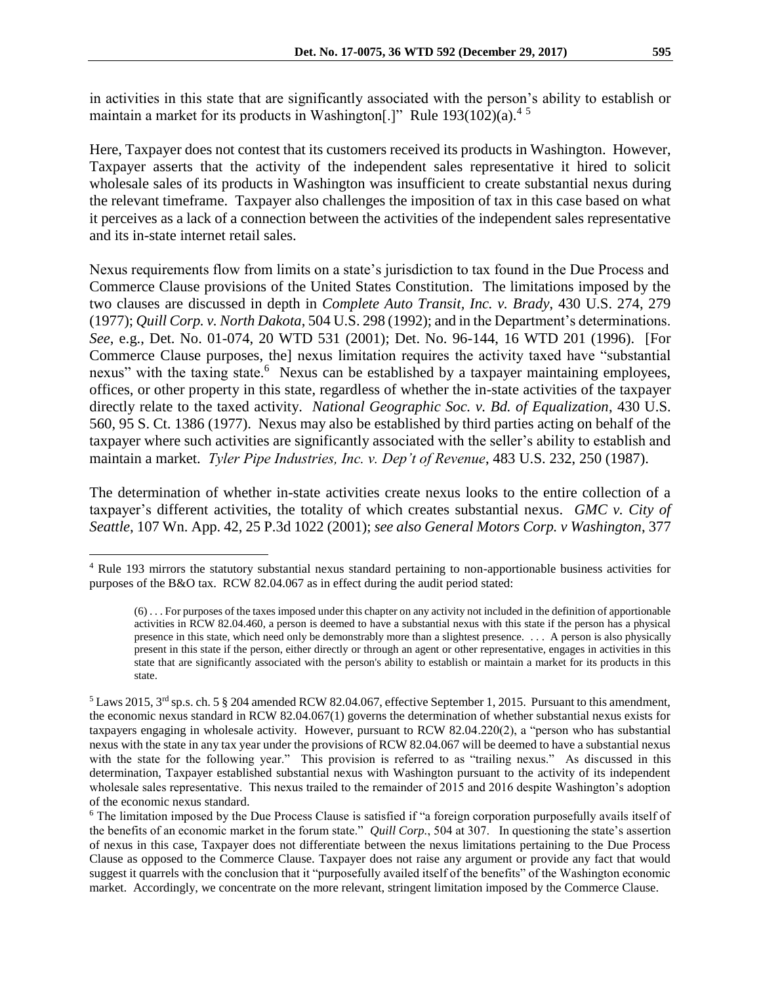in activities in this state that are significantly associated with the person's ability to establish or maintain a market for its products in Washington[.]" Rule 193(102)(a).<sup>45</sup>

Here, Taxpayer does not contest that its customers received its products in Washington. However, Taxpayer asserts that the activity of the independent sales representative it hired to solicit wholesale sales of its products in Washington was insufficient to create substantial nexus during the relevant timeframe. Taxpayer also challenges the imposition of tax in this case based on what it perceives as a lack of a connection between the activities of the independent sales representative and its in-state internet retail sales.

Nexus requirements flow from limits on a state's jurisdiction to tax found in the Due Process and Commerce Clause provisions of the United States Constitution. The limitations imposed by the two clauses are discussed in depth in *Complete Auto Transit, Inc. v. Brady*, 430 U.S. 274, 279 (1977); *Quill Corp. v. North Dakota*, 504 U.S. 298 (1992); and in the Department's determinations. *See*, e.g., Det. No. 01-074, 20 WTD 531 (2001); Det. No. 96-144, 16 WTD 201 (1996). [For Commerce Clause purposes, the] nexus limitation requires the activity taxed have "substantial nexus" with the taxing state.<sup>6</sup> Nexus can be established by a taxpayer maintaining employees, offices, or other property in this state, regardless of whether the in-state activities of the taxpayer directly relate to the taxed activity. *National Geographic Soc. v. Bd. of Equalization*, 430 U.S. 560, 95 S. Ct. 1386 (1977). Nexus may also be established by third parties acting on behalf of the taxpayer where such activities are significantly associated with the seller's ability to establish and maintain a market. *Tyler Pipe Industries, Inc. v. Dep't of Revenue*, 483 U.S. 232, 250 (1987).

The determination of whether in-state activities create nexus looks to the entire collection of a taxpayer's different activities, the totality of which creates substantial nexus. *GMC v. City of Seattle*, 107 Wn. App. 42, 25 P.3d 1022 (2001); *see also General Motors Corp. v Washington*, 377

<sup>4</sup> Rule 193 mirrors the statutory substantial nexus standard pertaining to non-apportionable business activities for purposes of the B&O tax. RCW 82.04.067 as in effect during the audit period stated:

 $(6)$ ... For purposes of the taxes imposed under this chapter on any activity not included in the definition of apportionable activities in RCW 82.04.460, a person is deemed to have a substantial nexus with this state if the person has a physical presence in this state, which need only be demonstrably more than a slightest presence. . . . A person is also physically present in this state if the person, either directly or through an agent or other representative, engages in activities in this state that are significantly associated with the person's ability to establish or maintain a market for its products in this state.

 $5$  Laws 2015,  $3<sup>rd</sup>$  sp.s. ch. 5 § 204 amended RCW 82.04.067, effective September 1, 2015. Pursuant to this amendment, the economic nexus standard in RCW 82.04.067(1) governs the determination of whether substantial nexus exists for taxpayers engaging in wholesale activity. However, pursuant to RCW 82.04.220(2), a "person who has substantial nexus with the state in any tax year under the provisions of RCW 82.04.067 will be deemed to have a substantial nexus with the state for the following year." This provision is referred to as "trailing nexus." As discussed in this determination, Taxpayer established substantial nexus with Washington pursuant to the activity of its independent wholesale sales representative. This nexus trailed to the remainder of 2015 and 2016 despite Washington's adoption of the economic nexus standard.

<sup>&</sup>lt;sup>6</sup> The limitation imposed by the Due Process Clause is satisfied if "a foreign corporation purposefully avails itself of the benefits of an economic market in the forum state." *Quill Corp.*, 504 at 307. In questioning the state's assertion of nexus in this case, Taxpayer does not differentiate between the nexus limitations pertaining to the Due Process Clause as opposed to the Commerce Clause. Taxpayer does not raise any argument or provide any fact that would suggest it quarrels with the conclusion that it "purposefully availed itself of the benefits" of the Washington economic market. Accordingly, we concentrate on the more relevant, stringent limitation imposed by the Commerce Clause.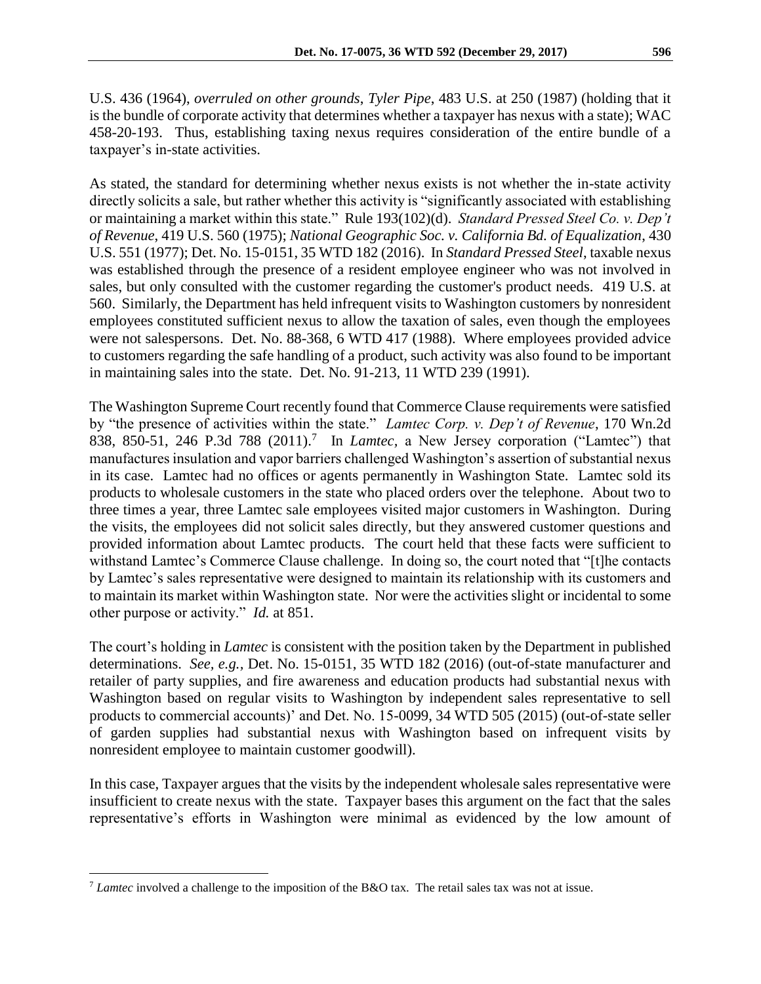U.S. 436 (1964), *overruled on other grounds*, *Tyler Pipe*, 483 U.S. at 250 (1987) (holding that it is the bundle of corporate activity that determines whether a taxpayer has nexus with a state); WAC 458-20-193. Thus, establishing taxing nexus requires consideration of the entire bundle of a taxpayer's in-state activities.

As stated, the standard for determining whether nexus exists is not whether the in-state activity directly solicits a sale, but rather whether this activity is "significantly associated with establishing or maintaining a market within this state." Rule 193(102)(d). *Standard Pressed Steel Co. v. Dep't of Revenue*, 419 U.S. 560 (1975); *National Geographic Soc. v. California Bd. of Equalization*, 430 U.S. 551 (1977); Det. No. 15-0151, 35 WTD 182 (2016). In *Standard Pressed Steel*, taxable nexus was established through the presence of a resident employee engineer who was not involved in sales, but only consulted with the customer regarding the customer's product needs. 419 U.S. at 560. Similarly, the Department has held infrequent visits to Washington customers by nonresident employees constituted sufficient nexus to allow the taxation of sales, even though the employees were not salespersons. Det. No. 88-368, 6 WTD 417 (1988). Where employees provided advice to customers regarding the safe handling of a product, such activity was also found to be important in maintaining sales into the state. Det. No. 91-213*,* 11 WTD 239 (1991).

The Washington Supreme Court recently found that Commerce Clause requirements were satisfied by "the presence of activities within the state." *Lamtec Corp. v. Dep't of Revenue*, 170 Wn.2d 838, 850-51, 246 P.3d 788 (2011).<sup>7</sup> In *Lamtec*, a New Jersey corporation ("Lamtec") that manufactures insulation and vapor barriers challenged Washington's assertion of substantial nexus in its case. Lamtec had no offices or agents permanently in Washington State. Lamtec sold its products to wholesale customers in the state who placed orders over the telephone. About two to three times a year, three Lamtec sale employees visited major customers in Washington. During the visits, the employees did not solicit sales directly, but they answered customer questions and provided information about Lamtec products. The court held that these facts were sufficient to withstand Lamtec's Commerce Clause challenge. In doing so, the court noted that "[t]he contacts by Lamtec's sales representative were designed to maintain its relationship with its customers and to maintain its market within Washington state. Nor were the activities slight or incidental to some other purpose or activity." *Id.* at 851.

The court's holding in *Lamtec* is consistent with the position taken by the Department in published determinations. *See, e.g.,* Det. No. 15-0151, 35 WTD 182 (2016) (out-of-state manufacturer and retailer of party supplies, and fire awareness and education products had substantial nexus with Washington based on regular visits to Washington by independent sales representative to sell products to commercial accounts)' and Det. No. 15-0099, 34 WTD 505 (2015) (out-of-state seller of garden supplies had substantial nexus with Washington based on infrequent visits by nonresident employee to maintain customer goodwill).

In this case, Taxpayer argues that the visits by the independent wholesale sales representative were insufficient to create nexus with the state. Taxpayer bases this argument on the fact that the sales representative's efforts in Washington were minimal as evidenced by the low amount of

<sup>7</sup> *Lamtec* involved a challenge to the imposition of the B&O tax. The retail sales tax was not at issue.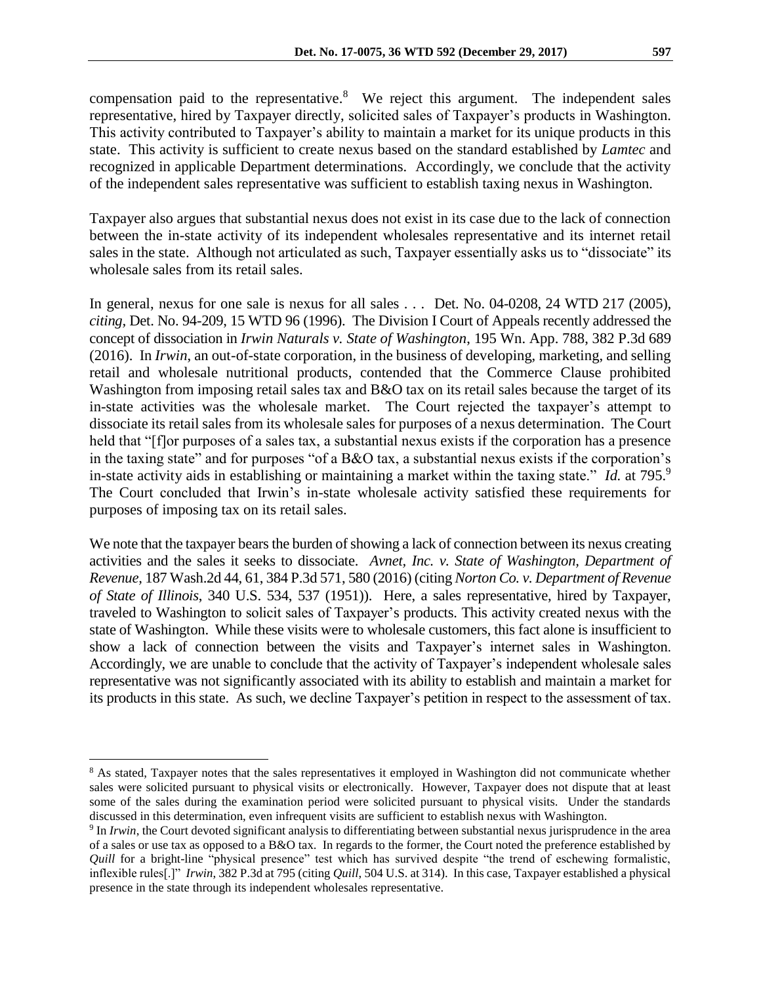compensation paid to the representative. $8$  We reject this argument. The independent sales representative, hired by Taxpayer directly, solicited sales of Taxpayer's products in Washington. This activity contributed to Taxpayer's ability to maintain a market for its unique products in this state. This activity is sufficient to create nexus based on the standard established by *Lamtec* and recognized in applicable Department determinations. Accordingly, we conclude that the activity of the independent sales representative was sufficient to establish taxing nexus in Washington.

Taxpayer also argues that substantial nexus does not exist in its case due to the lack of connection between the in-state activity of its independent wholesales representative and its internet retail sales in the state. Although not articulated as such, Taxpayer essentially asks us to "dissociate" its wholesale sales from its retail sales.

In general, nexus for one sale is nexus for all sales . . . Det. No. 04-0208, 24 WTD 217 (2005), *citing,* Det. No. 94-209, 15 WTD 96 (1996). The Division I Court of Appeals recently addressed the concept of dissociation in *Irwin Naturals v. State of Washington*, 195 Wn. App. 788, 382 P.3d 689 (2016). In *Irwin*, an out-of-state corporation, in the business of developing, marketing, and selling retail and wholesale nutritional products, contended that the Commerce Clause prohibited Washington from imposing retail sales tax and B&O tax on its retail sales because the target of its in-state activities was the wholesale market. The Court rejected the taxpayer's attempt to dissociate its retail sales from its wholesale sales for purposes of a nexus determination. The Court held that "[f]or purposes of a sales tax, a substantial nexus exists if the corporation has a presence in the taxing state" and for purposes "of a B&O tax, a substantial nexus exists if the corporation's in-state activity aids in establishing or maintaining a market within the taxing state." *Id.* at 795. 9 The Court concluded that Irwin's in-state wholesale activity satisfied these requirements for purposes of imposing tax on its retail sales.

We note that the taxpayer bears the burden of showing a lack of connection between its nexus creating activities and the sales it seeks to dissociate. *Avnet, Inc. v. State of Washington, Department of Revenue,* 187 Wash.2d 44, 61, 384 P.3d 571, 580 (2016) (citing *Norton Co. v. Department of Revenue of State of Illinois*, 340 U.S. 534, 537 (1951)). Here, a sales representative, hired by Taxpayer, traveled to Washington to solicit sales of Taxpayer's products. This activity created nexus with the state of Washington. While these visits were to wholesale customers, this fact alone is insufficient to show a lack of connection between the visits and Taxpayer's internet sales in Washington. Accordingly, we are unable to conclude that the activity of Taxpayer's independent wholesale sales representative was not significantly associated with its ability to establish and maintain a market for its products in this state. As such, we decline Taxpayer's petition in respect to the assessment of tax.

<sup>&</sup>lt;sup>8</sup> As stated, Taxpayer notes that the sales representatives it employed in Washington did not communicate whether sales were solicited pursuant to physical visits or electronically. However, Taxpayer does not dispute that at least some of the sales during the examination period were solicited pursuant to physical visits. Under the standards discussed in this determination, even infrequent visits are sufficient to establish nexus with Washington.

<sup>9</sup> In *Irwin*, the Court devoted significant analysis to differentiating between substantial nexus jurisprudence in the area of a sales or use tax as opposed to a B&O tax. In regards to the former, the Court noted the preference established by *Quill* for a bright-line "physical presence" test which has survived despite "the trend of eschewing formalistic, inflexible rules[.]" *Irwin*, 382 P.3d at 795 (citing *Quill*, 504 U.S. at 314). In this case, Taxpayer established a physical presence in the state through its independent wholesales representative.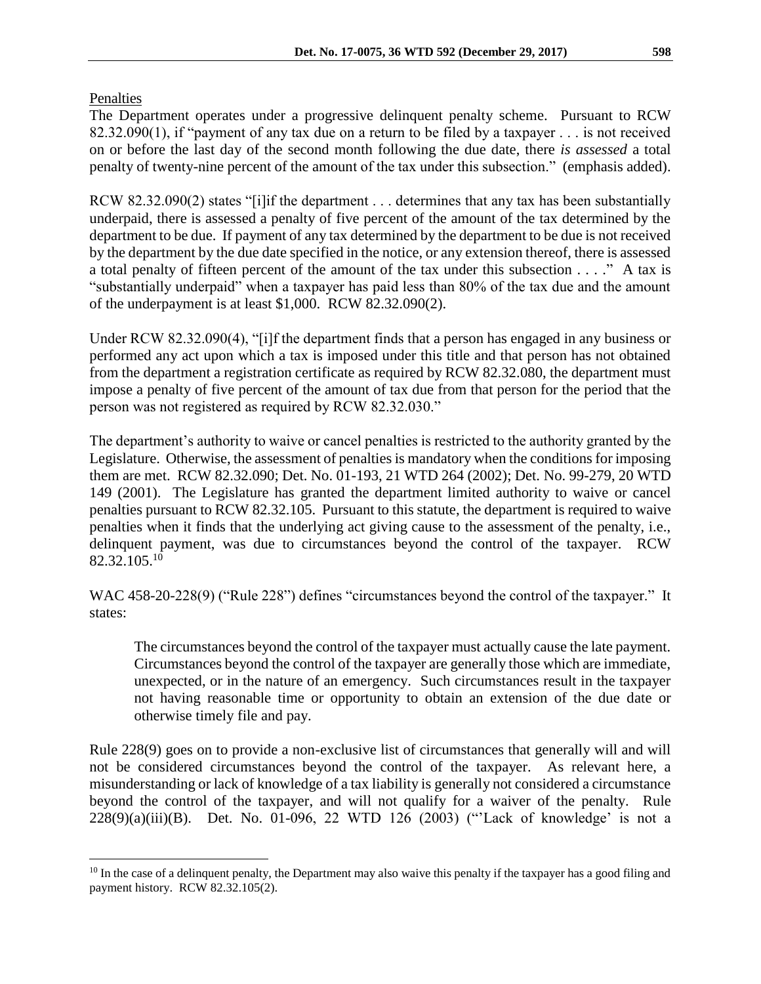### Penalties

 $\overline{a}$ 

The Department operates under a progressive delinquent penalty scheme. Pursuant to RCW 82.32.090(1), if "payment of any tax due on a return to be filed by a taxpayer . . . is not received on or before the last day of the second month following the due date, there *is assessed* a total penalty of twenty-nine percent of the amount of the tax under this subsection." (emphasis added).

RCW 82.32.090(2) states "[i]if the department . . . determines that any tax has been substantially underpaid, there is assessed a penalty of five percent of the amount of the tax determined by the department to be due. If payment of any tax determined by the department to be due is not received by the department by the due date specified in the notice, or any extension thereof, there is assessed a total penalty of fifteen percent of the amount of the tax under this subsection . . . ." A tax is "substantially underpaid" when a taxpayer has paid less than 80% of the tax due and the amount of the underpayment is at least \$1,000. RCW 82.32.090(2).

Under RCW 82.32.090(4), "[i]f the department finds that a person has engaged in any business or performed any act upon which a tax is imposed under this title and that person has not obtained from the department a registration certificate as required by RCW 82.32.080, the department must impose a penalty of five percent of the amount of tax due from that person for the period that the person was not registered as required by RCW 82.32.030."

The department's authority to waive or cancel penalties is restricted to the authority granted by the Legislature. Otherwise, the assessment of penalties is mandatory when the conditions for imposing them are met. RCW 82.32.090; Det. No. 01-193, 21 WTD 264 (2002); Det. No. 99-279, 20 WTD 149 (2001). The Legislature has granted the department limited authority to waive or cancel penalties pursuant to RCW 82.32.105. Pursuant to this statute, the department is required to waive penalties when it finds that the underlying act giving cause to the assessment of the penalty, i.e., delinquent payment, was due to circumstances beyond the control of the taxpayer. RCW  $82.32.105^{10}$ 

WAC 458-20-228(9) ("Rule 228") defines "circumstances beyond the control of the taxpayer." It states:

The circumstances beyond the control of the taxpayer must actually cause the late payment. Circumstances beyond the control of the taxpayer are generally those which are immediate, unexpected, or in the nature of an emergency. Such circumstances result in the taxpayer not having reasonable time or opportunity to obtain an extension of the due date or otherwise timely file and pay.

Rule 228(9) goes on to provide a non-exclusive list of circumstances that generally will and will not be considered circumstances beyond the control of the taxpayer. As relevant here, a misunderstanding or lack of knowledge of a tax liability is generally not considered a circumstance beyond the control of the taxpayer, and will not qualify for a waiver of the penalty. Rule 228(9)(a)(iii)(B). Det. No. 01-096, 22 WTD 126 (2003) ("'Lack of knowledge' is not a

<sup>&</sup>lt;sup>10</sup> In the case of a delinquent penalty, the Department may also waive this penalty if the taxpayer has a good filing and payment history. RCW 82.32.105(2).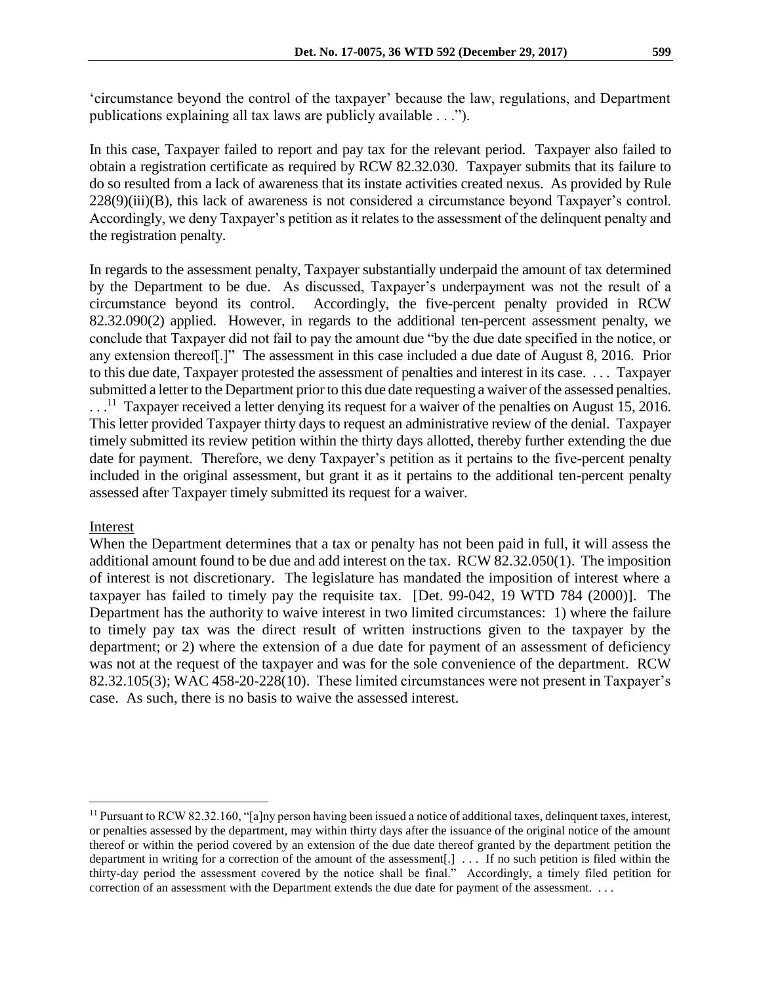'circumstance beyond the control of the taxpayer' because the law, regulations, and Department publications explaining all tax laws are publicly available . . .").

In this case, Taxpayer failed to report and pay tax for the relevant period. Taxpayer also failed to obtain a registration certificate as required by RCW 82.32.030. Taxpayer submits that its failure to do so resulted from a lack of awareness that its instate activities created nexus. As provided by Rule 228(9)(iii)(B), this lack of awareness is not considered a circumstance beyond Taxpayer's control. Accordingly, we deny Taxpayer's petition as it relates to the assessment of the delinquent penalty and the registration penalty.

In regards to the assessment penalty, Taxpayer substantially underpaid the amount of tax determined by the Department to be due. As discussed, Taxpayer's underpayment was not the result of a circumstance beyond its control. Accordingly, the five-percent penalty provided in RCW 82.32.090(2) applied. However, in regards to the additional ten-percent assessment penalty, we conclude that Taxpayer did not fail to pay the amount due "by the due date specified in the notice, or any extension thereof[.]" The assessment in this case included a due date of August 8, 2016. Prior to this due date, Taxpayer protested the assessment of penalties and interest in its case. . . . Taxpayer submitted a letter to the Department prior to this due date requesting a waiver of the assessed penalties.  $\dots$ <sup>11</sup> Taxpayer received a letter denying its request for a waiver of the penalties on August 15, 2016. This letter provided Taxpayer thirty days to request an administrative review of the denial. Taxpayer timely submitted its review petition within the thirty days allotted, thereby further extending the due

date for payment. Therefore, we deny Taxpayer's petition as it pertains to the five-percent penalty included in the original assessment, but grant it as it pertains to the additional ten-percent penalty assessed after Taxpayer timely submitted its request for a waiver.

#### Interest

 $\overline{a}$ 

When the Department determines that a tax or penalty has not been paid in full, it will assess the additional amount found to be due and add interest on the tax. RCW 82.32.050(1). The imposition of interest is not discretionary. The legislature has mandated the imposition of interest where a taxpayer has failed to timely pay the requisite tax. [Det. 99-042, 19 WTD 784 (2000)]. The Department has the authority to waive interest in two limited circumstances: 1) where the failure to timely pay tax was the direct result of written instructions given to the taxpayer by the department; or 2) where the extension of a due date for payment of an assessment of deficiency was not at the request of the taxpayer and was for the sole convenience of the department. RCW 82.32.105(3); WAC 458-20-228(10). These limited circumstances were not present in Taxpayer's case. As such, there is no basis to waive the assessed interest.

 $11$  Pursuant to RCW 82.32.160, "[a]ny person having been issued a notice of additional taxes, delinquent taxes, interest, or penalties assessed by the department, may within thirty days after the issuance of the original notice of the amount thereof or within the period covered by an extension of the due date thereof granted by the department petition the department in writing for a correction of the amount of the assessment[.] . . . If no such petition is filed within the thirty-day period the assessment covered by the notice shall be final." Accordingly, a timely filed petition for correction of an assessment with the Department extends the due date for payment of the assessment. . . .